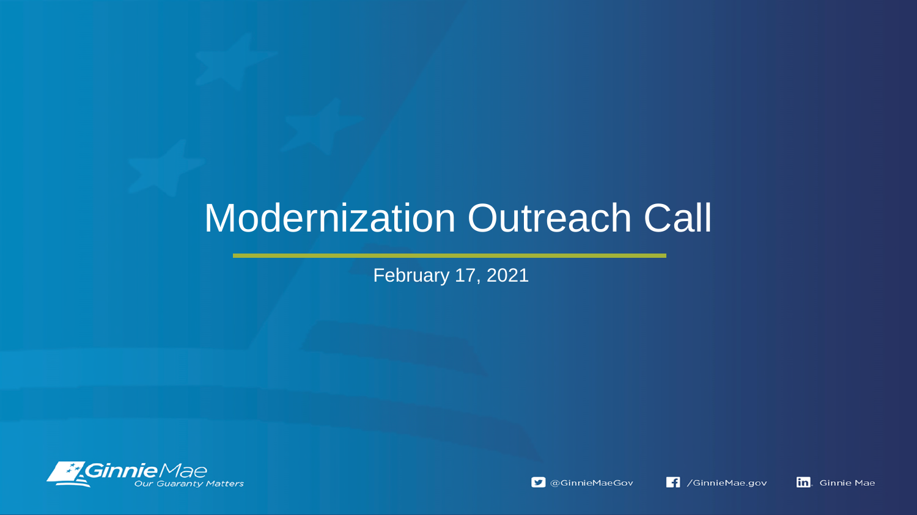# Modernization Outreach Call

February 17, 2021



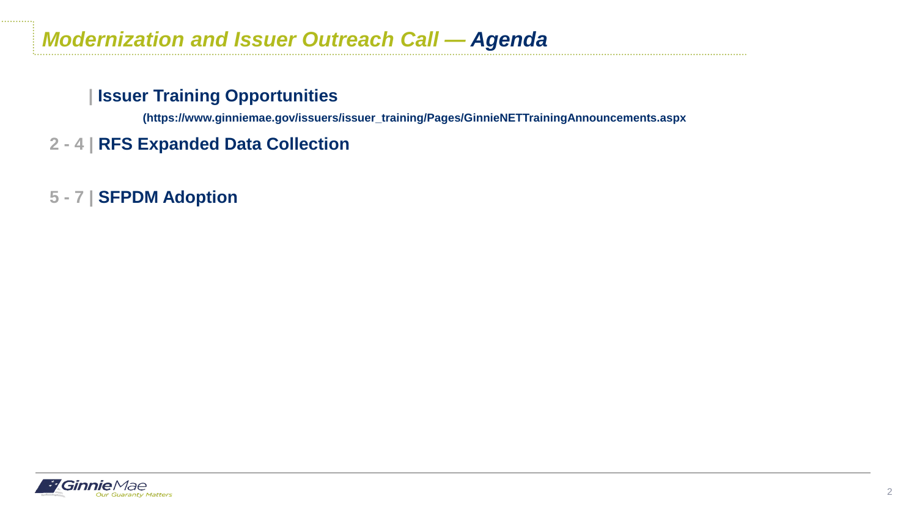### **| Issuer Training Opportunities**

**(https://www.ginniemae.gov/issuers/issuer\_training/Pages/GinnieNETTrainingAnnouncements.aspx**

- **2 - 4 | RFS Expanded Data Collection**
- **5 - 7 | SFPDM Adoption**

. . . . . . . . . . . .

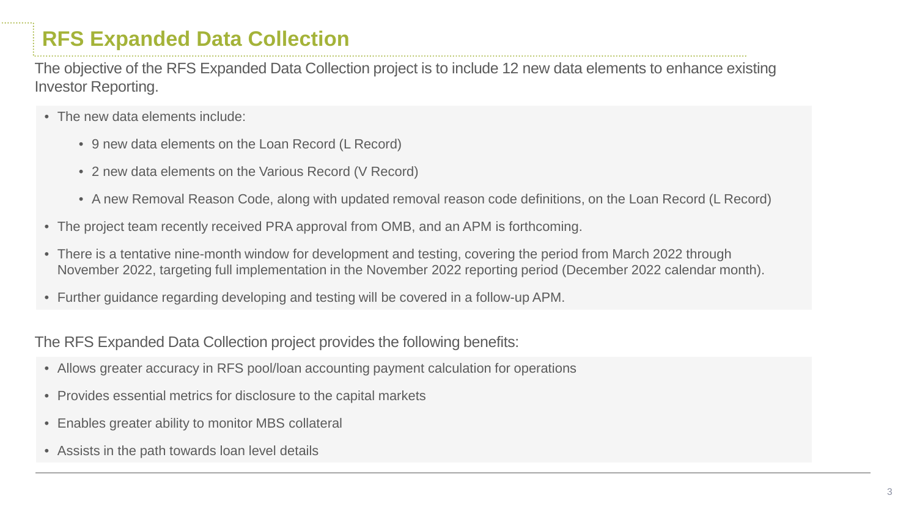# **RFS Expanded Data Collection**

The objective of the RFS Expanded Data Collection project is to include 12 new data elements to enhance existing Investor Reporting.

- The new data elements include:
	- 9 new data elements on the Loan Record (L Record)
	- 2 new data elements on the Various Record (V Record)
	- A new Removal Reason Code, along with updated removal reason code definitions, on the Loan Record (L Record)
- The project team recently received PRA approval from OMB, and an APM is forthcoming.
- There is a tentative nine-month window for development and testing, covering the period from March 2022 through November 2022, targeting full implementation in the November 2022 reporting period (December 2022 calendar month).
- Further guidance regarding developing and testing will be covered in a follow-up APM.

The RFS Expanded Data Collection project provides the following benefits:

- Allows greater accuracy in RFS pool/loan accounting payment calculation for operations
- Provides essential metrics for disclosure to the capital markets
- Enables greater ability to monitor MBS collateral
- Assists in the path towards loan level details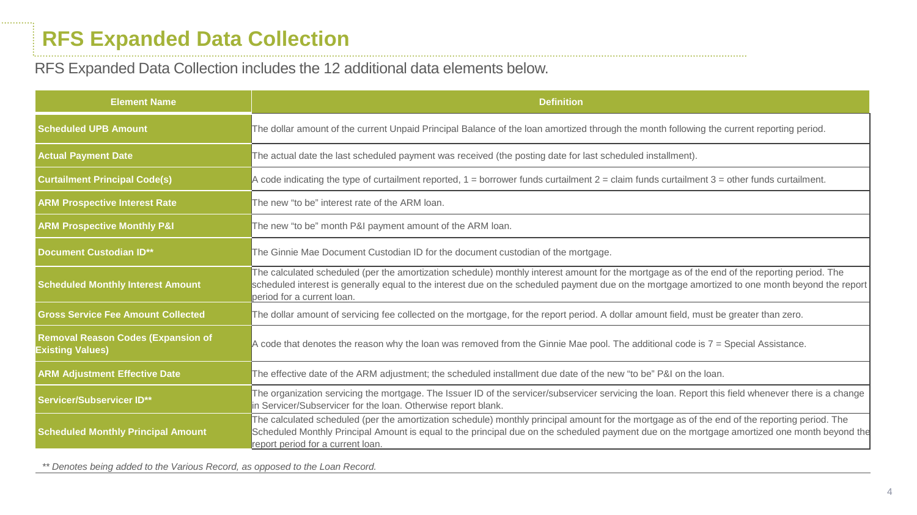. . . . . . . . . . . .

#### RFS Expanded Data Collection includes the 12 additional data elements below.

| <b>Element Name</b>                                                  | <b>Definition</b>                                                                                                                                                                                                                                                                                                                  |
|----------------------------------------------------------------------|------------------------------------------------------------------------------------------------------------------------------------------------------------------------------------------------------------------------------------------------------------------------------------------------------------------------------------|
| <b>Scheduled UPB Amount</b>                                          | The dollar amount of the current Unpaid Principal Balance of the loan amortized through the month following the current reporting period.                                                                                                                                                                                          |
| <b>Actual Payment Date</b>                                           | The actual date the last scheduled payment was received (the posting date for last scheduled installment).                                                                                                                                                                                                                         |
| <b>Curtailment Principal Code(s)</b>                                 | A code indicating the type of curtailment reported, $1 =$ borrower funds curtailment $2 =$ claim funds curtailment $3 =$ other funds curtailment.                                                                                                                                                                                  |
| <b>ARM Prospective Interest Rate</b>                                 | The new "to be" interest rate of the ARM loan.                                                                                                                                                                                                                                                                                     |
| <b>ARM Prospective Monthly P&amp;I</b>                               | The new "to be" month P&I payment amount of the ARM loan.                                                                                                                                                                                                                                                                          |
| <b>Document Custodian ID**</b>                                       | The Ginnie Mae Document Custodian ID for the document custodian of the mortgage.                                                                                                                                                                                                                                                   |
| <b>Scheduled Monthly Interest Amount</b>                             | The calculated scheduled (per the amortization schedule) monthly interest amount for the mortgage as of the end of the reporting period. The<br>scheduled interest is generally equal to the interest due on the scheduled payment due on the mortgage amortized to one month beyond the report<br>period for a current loan.      |
| <b>Gross Service Fee Amount Collected</b>                            | The dollar amount of servicing fee collected on the mortgage, for the report period. A dollar amount field, must be greater than zero.                                                                                                                                                                                             |
| <b>Removal Reason Codes (Expansion of</b><br><b>Existing Values)</b> | A code that denotes the reason why the loan was removed from the Ginnie Mae pool. The additional code is 7 = Special Assistance.                                                                                                                                                                                                   |
| <b>ARM Adjustment Effective Date</b>                                 | The effective date of the ARM adjustment; the scheduled installment due date of the new "to be" P&I on the loan.                                                                                                                                                                                                                   |
| <b>Servicer/Subservicer ID**</b>                                     | The organization servicing the mortgage. The Issuer ID of the servicer/subservicer servicing the loan. Report this field whenever there is a change<br>in Servicer/Subservicer for the loan. Otherwise report blank.                                                                                                               |
| <b>Scheduled Monthly Principal Amount</b>                            | The calculated scheduled (per the amortization schedule) monthly principal amount for the mortgage as of the end of the reporting period. The<br>Scheduled Monthly Principal Amount is equal to the principal due on the scheduled payment due on the mortgage amortized one month beyond the<br>report period for a current loan. |

*\*\* Denotes being added to the Various Record, as opposed to the Loan Record.*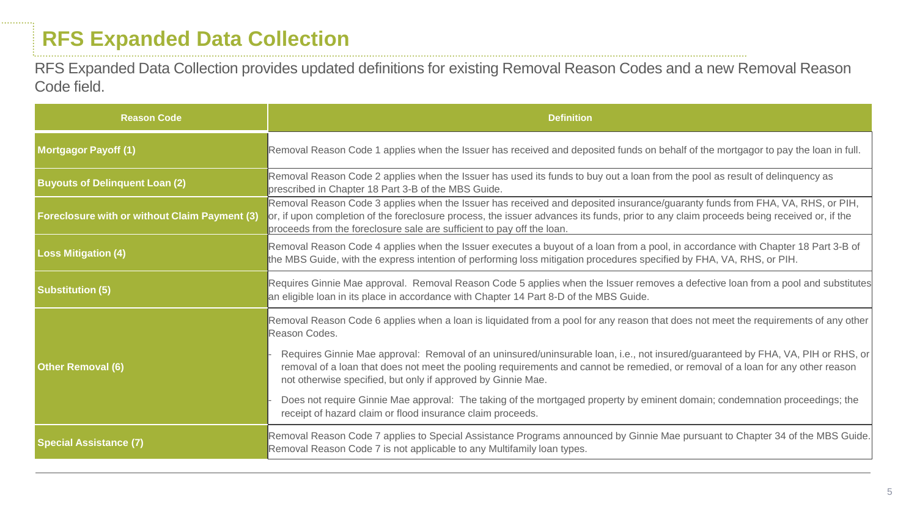. . . . . . . . . . .

RFS Expanded Data Collection provides updated definitions for existing Removal Reason Codes and a new Removal Reason Code field.

| <b>Reason Code</b>                                   | <b>Definition</b>                                                                                                                                                                                                                                                                                                                                 |
|------------------------------------------------------|---------------------------------------------------------------------------------------------------------------------------------------------------------------------------------------------------------------------------------------------------------------------------------------------------------------------------------------------------|
| <b>Mortgagor Payoff (1)</b>                          | Removal Reason Code 1 applies when the Issuer has received and deposited funds on behalf of the mortgagor to pay the loan in full.                                                                                                                                                                                                                |
| <b>Buyouts of Delinquent Loan (2)</b>                | Removal Reason Code 2 applies when the Issuer has used its funds to buy out a loan from the pool as result of delinquency as<br>prescribed in Chapter 18 Part 3-B of the MBS Guide.                                                                                                                                                               |
| <b>Foreclosure with or without Claim Payment (3)</b> | Removal Reason Code 3 applies when the Issuer has received and deposited insurance/guaranty funds from FHA, VA, RHS, or PIH,<br>or, if upon completion of the foreclosure process, the issuer advances its funds, prior to any claim proceeds being received or, if the<br>proceeds from the foreclosure sale are sufficient to pay off the loan. |
| <b>Loss Mitigation (4)</b>                           | Removal Reason Code 4 applies when the Issuer executes a buyout of a loan from a pool, in accordance with Chapter 18 Part 3-B of<br>the MBS Guide, with the express intention of performing loss mitigation procedures specified by FHA, VA, RHS, or PIH.                                                                                         |
| <b>Substitution (5)</b>                              | Requires Ginnie Mae approval. Removal Reason Code 5 applies when the Issuer removes a defective loan from a pool and substitutes<br>an eligible loan in its place in accordance with Chapter 14 Part 8-D of the MBS Guide.                                                                                                                        |
|                                                      | Removal Reason Code 6 applies when a loan is liquidated from a pool for any reason that does not meet the requirements of any other<br>Reason Codes.                                                                                                                                                                                              |
| <b>Other Removal (6)</b>                             | Requires Ginnie Mae approval: Removal of an uninsured/uninsurable loan, i.e., not insured/guaranteed by FHA, VA, PIH or RHS, or<br>removal of a loan that does not meet the pooling requirements and cannot be remedied, or removal of a loan for any other reason<br>not otherwise specified, but only if approved by Ginnie Mae.                |
|                                                      | Does not require Ginnie Mae approval: The taking of the mortgaged property by eminent domain; condemnation proceedings; the<br>receipt of hazard claim or flood insurance claim proceeds.                                                                                                                                                         |
| <b>Special Assistance (7)</b>                        | Removal Reason Code 7 applies to Special Assistance Programs announced by Ginnie Mae pursuant to Chapter 34 of the MBS Guide.<br>Removal Reason Code 7 is not applicable to any Multifamily loan types.                                                                                                                                           |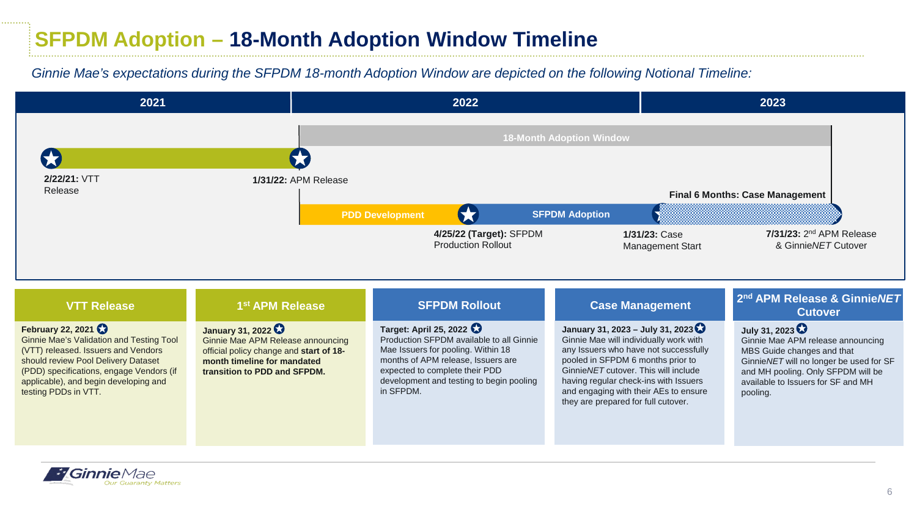# **SFPDM Adoption – 18-Month Adoption Window Timeline**

#### *Ginnie Mae's expectations during the SFPDM 18-month Adoption Window are depicted on the following Notional Timeline:*



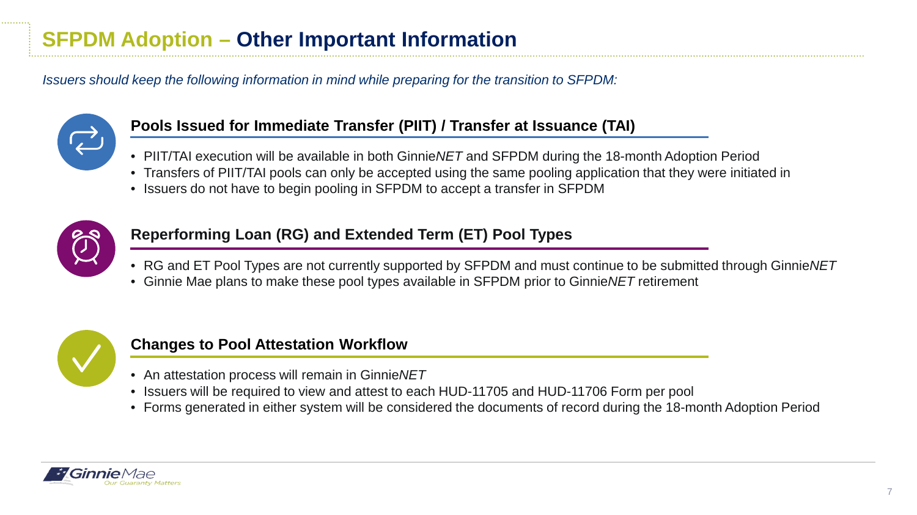*Issuers should keep the following information in mind while preparing for the transition to SFPDM:*



#### **Pools Issued for Immediate Transfer (PIIT) / Transfer at Issuance (TAI)**

- PIIT/TAI execution will be available in both Ginnie*NET* and SFPDM during the 18-month Adoption Period
- Transfers of PIIT/TAI pools can only be accepted using the same pooling application that they were initiated in
- Issuers do not have to begin pooling in SFPDM to accept a transfer in SFPDM



### **Reperforming Loan (RG) and Extended Term (ET) Pool Types**

- RG and ET Pool Types are not currently supported by SFPDM and must continue to be submitted through Ginnie*NET*
- Ginnie Mae plans to make these pool types available in SFPDM prior to Ginnie*NET* retirement



### **Changes to Pool Attestation Workflow**

- An attestation process will remain in Ginnie*NET*
- Issuers will be required to view and attest to each HUD-11705 and HUD-11706 Form per pool
- Forms generated in either system will be considered the documents of record during the 18-month Adoption Period

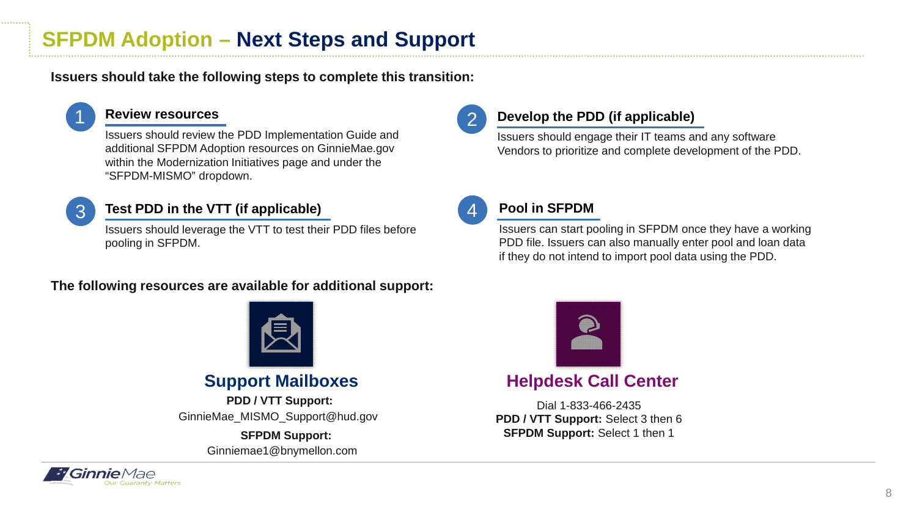# **SFPDM Adoption – Next Steps and Support**

**Issuers should take the following steps to complete this transition:**



#### **Review resources**

Issuers should review the PDD Implementation Guide and additional SFPDM Adoption resources on GinnieMae.gov within the Modernization Initiatives page and under the "SFPDM-MISMO" dropdown.



#### **Test PDD in the VTT (if applicable)**

Issuers should leverage the VTT to test their PDD files before pooling in SFPDM.

#### **The following resources are available for additional support:**



GinnieMae\_MISMO\_Support@hud.gov **PDD / VTT Support:**

> Ginniemae1@bnymellon.com **SFPDM Support:**



#### **Develop the PDD (if applicable)**

Issuers should engage their IT teams and any software Vendors to prioritize and complete development of the PDD.



#### **Pool in SFPDM**

Issuers can start pooling in SFPDM once they have a working PDD file. Issuers can also manually enter pool and loan data if they do not intend to import pool data using the PDD.



### **Support Mailboxes <b>Helpdesk Call Center**

Dial 1-833-466-2435 **PDD / VTT Support:** Select 3 then 6 **SFPDM Support: Select 1 then 1**